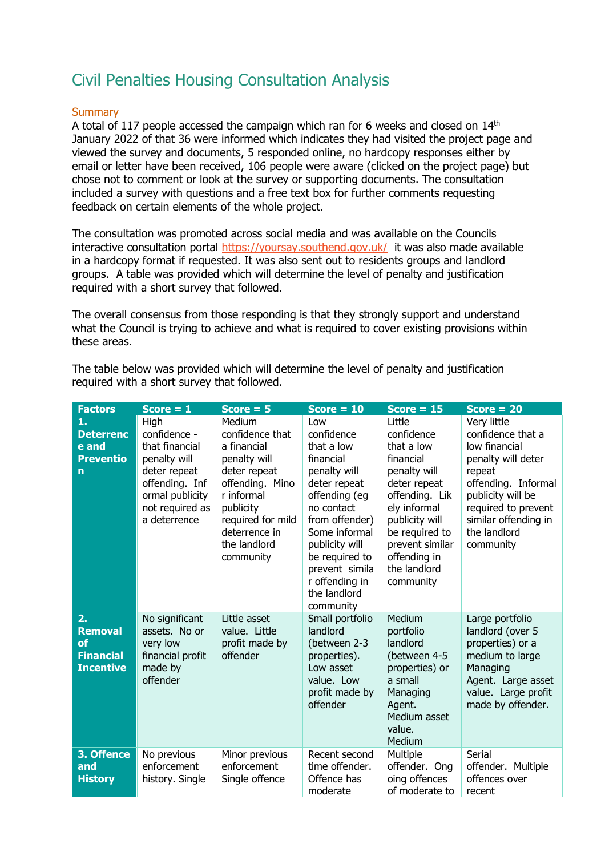# Civil Penalties Housing Consultation Analysis

#### **Summary**

A total of 117 people accessed the campaign which ran for 6 weeks and closed on  $14<sup>th</sup>$ January 2022 of that 36 were informed which indicates they had visited the project page and viewed the survey and documents, 5 responded online, no hardcopy responses either by email or letter have been received, 106 people were aware (clicked on the project page) but chose not to comment or look at the survey or supporting documents. The consultation included a survey with questions and a free text box for further comments requesting feedback on certain elements of the whole project.

The consultation was promoted across social media and was available on the Councils interactive consultation portal<https://yoursay.southend.gov.uk/>it was also made available in a hardcopy format if requested. It was also sent out to residents groups and landlord groups. A table was provided which will determine the level of penalty and justification required with a short survey that followed.

The overall consensus from those responding is that they strongly support and understand what the Council is trying to achieve and what is required to cover existing provisions within these areas.

The table below was provided which will determine the level of penalty and justification required with a short survey that followed.

| <b>Factors</b>                                                      | $Score = 1$                                                                                                                                    | $Score = 5$                                                                                                                                                                               | $Score = 10$                                                                                                                                                                                                                                        | $Score = 15$                                                                                                                                                                                                          | $Score = 20$                                                                                                                                                                                              |
|---------------------------------------------------------------------|------------------------------------------------------------------------------------------------------------------------------------------------|-------------------------------------------------------------------------------------------------------------------------------------------------------------------------------------------|-----------------------------------------------------------------------------------------------------------------------------------------------------------------------------------------------------------------------------------------------------|-----------------------------------------------------------------------------------------------------------------------------------------------------------------------------------------------------------------------|-----------------------------------------------------------------------------------------------------------------------------------------------------------------------------------------------------------|
| 1.<br><b>Deterrenc</b><br>e and<br><b>Preventio</b><br>$\mathsf{n}$ | High<br>confidence -<br>that financial<br>penalty will<br>deter repeat<br>offending. Inf<br>ormal publicity<br>not required as<br>a deterrence | Medium<br>confidence that<br>a financial<br>penalty will<br>deter repeat<br>offending. Mino<br>r informal<br>publicity<br>required for mild<br>deterrence in<br>the landlord<br>community | Low<br>confidence<br>that a low<br>financial<br>penalty will<br>deter repeat<br>offending (eg<br>no contact<br>from offender)<br>Some informal<br>publicity will<br>be required to<br>prevent simila<br>r offending in<br>the landlord<br>community | Little<br>confidence<br>that a low<br>financial<br>penalty will<br>deter repeat<br>offending. Lik<br>ely informal<br>publicity will<br>be required to<br>prevent similar<br>offending in<br>the landlord<br>community | Very little<br>confidence that a<br>low financial<br>penalty will deter<br>repeat<br>offending. Informal<br>publicity will be<br>required to prevent<br>similar offending in<br>the landlord<br>community |
| 2.<br><b>Removal</b><br>of<br><b>Financial</b><br><b>Incentive</b>  | No significant<br>assets. No or<br>very low<br>financial profit<br>made by<br>offender                                                         | Little asset<br>value. Little<br>profit made by<br>offender                                                                                                                               | Small portfolio<br>landlord<br>(between 2-3<br>properties).<br>Low asset<br>value. Low<br>profit made by<br>offender                                                                                                                                | Medium<br>portfolio<br>landlord<br>(between 4-5<br>properties) or<br>a small<br>Managing<br>Agent.<br>Medium asset<br>value.<br>Medium                                                                                | Large portfolio<br>landlord (over 5<br>properties) or a<br>medium to large<br>Managing<br>Agent. Large asset<br>value. Large profit<br>made by offender.                                                  |
| 3. Offence<br>and<br><b>History</b>                                 | No previous<br>enforcement<br>history. Single                                                                                                  | Minor previous<br>enforcement<br>Single offence                                                                                                                                           | Recent second<br>time offender.<br>Offence has<br>moderate                                                                                                                                                                                          | Multiple<br>offender. Ong<br>oing offences<br>of moderate to                                                                                                                                                          | Serial<br>offender. Multiple<br>offences over<br>recent                                                                                                                                                   |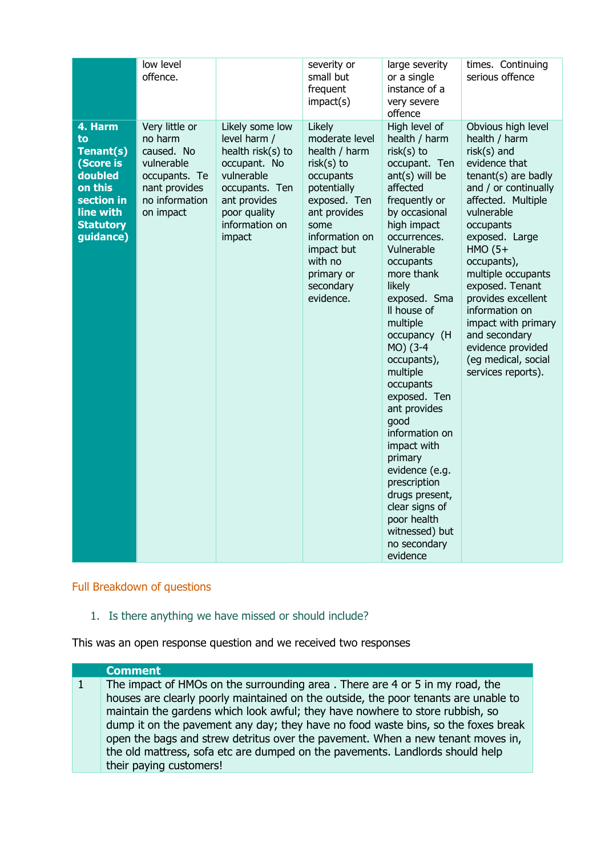|                                                                                                                           | low level                                                                                                              |                                                                                                                                                                  | severity or                                                                                                                                                                                                      | large severity                                                                                                                                                                                                                                                                                                                                                                                                                                                                                                                                        | times. Continuing                                                                                                                                                                                                                                                                                                                                                                                           |
|---------------------------------------------------------------------------------------------------------------------------|------------------------------------------------------------------------------------------------------------------------|------------------------------------------------------------------------------------------------------------------------------------------------------------------|------------------------------------------------------------------------------------------------------------------------------------------------------------------------------------------------------------------|-------------------------------------------------------------------------------------------------------------------------------------------------------------------------------------------------------------------------------------------------------------------------------------------------------------------------------------------------------------------------------------------------------------------------------------------------------------------------------------------------------------------------------------------------------|-------------------------------------------------------------------------------------------------------------------------------------------------------------------------------------------------------------------------------------------------------------------------------------------------------------------------------------------------------------------------------------------------------------|
|                                                                                                                           | offence.                                                                                                               |                                                                                                                                                                  | small but<br>frequent<br>impact(s)                                                                                                                                                                               | or a single<br>instance of a<br>very severe<br>offence                                                                                                                                                                                                                                                                                                                                                                                                                                                                                                | serious offence                                                                                                                                                                                                                                                                                                                                                                                             |
| 4. Harm<br>to<br>Tenant(s)<br>(Score is<br>doubled<br>on this<br>section in<br>line with<br><b>Statutory</b><br>guidance) | Very little or<br>no harm<br>caused. No<br>vulnerable<br>occupants. Te<br>nant provides<br>no information<br>on impact | Likely some low<br>level harm /<br>health risk(s) to<br>occupant. No<br>vulnerable<br>occupants. Ten<br>ant provides<br>poor quality<br>information on<br>impact | Likely<br>moderate level<br>health / harm<br>$risk(s)$ to<br>occupants<br>potentially<br>exposed. Ten<br>ant provides<br>some<br>information on<br>impact but<br>with no<br>primary or<br>secondary<br>evidence. | High level of<br>health / harm<br>risk(s) to<br>occupant. Ten<br>ant(s) will be<br>affected<br>frequently or<br>by occasional<br>high impact<br>occurrences.<br>Vulnerable<br>occupants<br>more thank<br>likely<br>exposed. Sma<br>Il house of<br>multiple<br>occupancy (H<br>MO) (3-4<br>occupants),<br>multiple<br>occupants<br>exposed. Ten<br>ant provides<br>qood<br>information on<br>impact with<br>primary<br>evidence (e.g.<br>prescription<br>drugs present,<br>clear signs of<br>poor health<br>witnessed) but<br>no secondary<br>evidence | Obvious high level<br>health / harm<br>risk(s) and<br>evidence that<br>tenant(s) are badly<br>and / or continually<br>affected. Multiple<br>vulnerable<br>occupants<br>exposed. Large<br>$HMO(5+$<br>occupants),<br>multiple occupants<br>exposed. Tenant<br>provides excellent<br>information on<br>impact with primary<br>and secondary<br>evidence provided<br>(eg medical, social<br>services reports). |

Full Breakdown of questions

1. Is there anything we have missed or should include?

This was an open response question and we received two responses

#### **Comment**

1 The impact of HMOs on the surrounding area . There are 4 or 5 in my road, the houses are clearly poorly maintained on the outside, the poor tenants are unable to maintain the gardens which look awful; they have nowhere to store rubbish, so dump it on the pavement any day; they have no food waste bins, so the foxes break open the bags and strew detritus over the pavement. When a new tenant moves in, the old mattress, sofa etc are dumped on the pavements. Landlords should help their paying customers!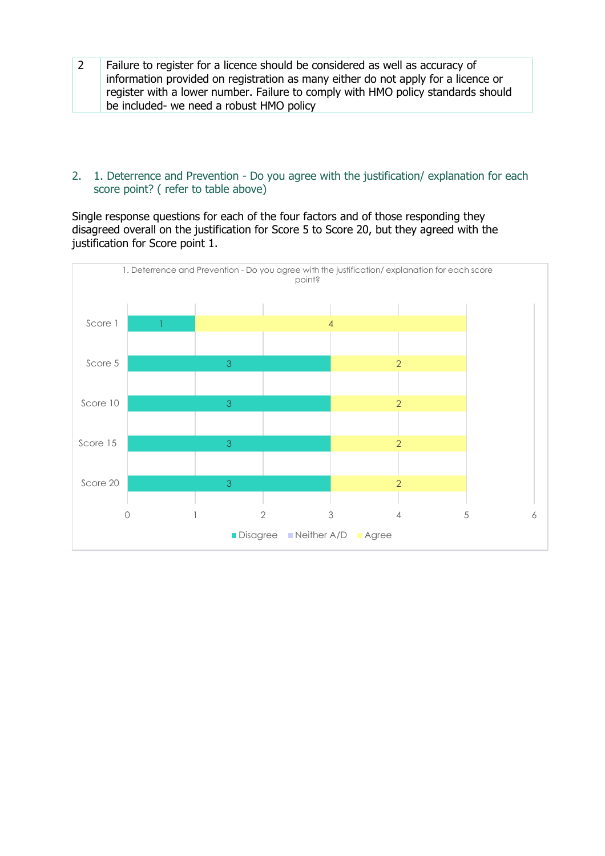2 | Failure to register for a licence should be considered as well as accuracy of information provided on registration as many either do not apply for a licence or register with a lower number. Failure to comply with HMO policy standards should be included- we need a robust HMO policy

## 2. 1. Deterrence and Prevention - Do you agree with the justification/ explanation for each score point? ( refer to table above)

Single response questions for each of the four factors and of those responding they disagreed overall on the justification for Score 5 to Score 20, but they agreed with the justification for Score point 1.

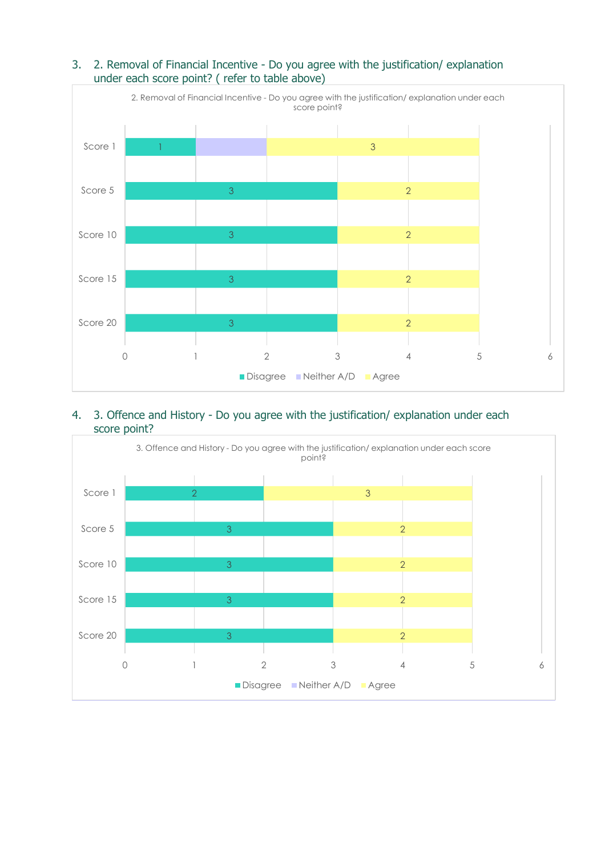

# 3. 2. Removal of Financial Incentive - Do you agree with the justification/ explanation under each score point? ( refer to table above)

#### 4. 3. Offence and History - Do you agree with the justification/ explanation under each score point?

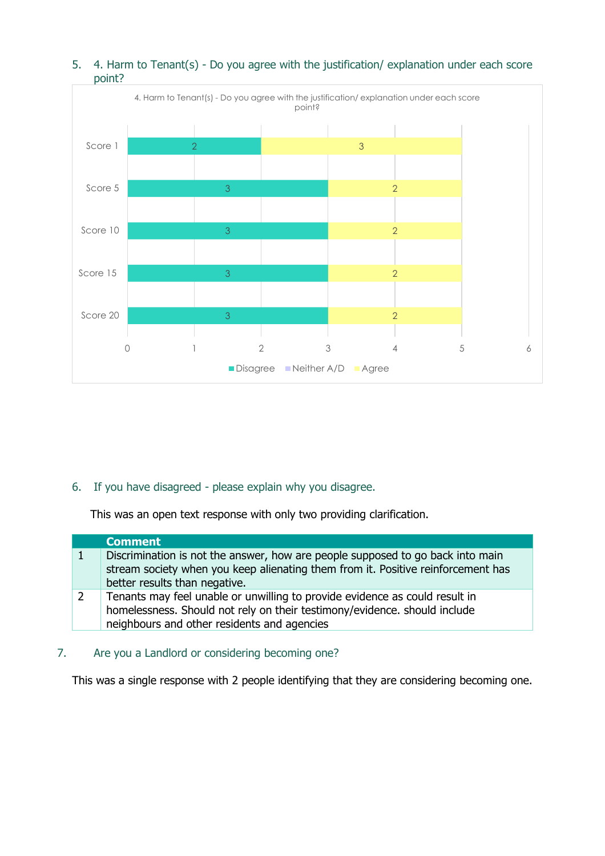

## 5. 4. Harm to Tenant(s) - Do you agree with the justification/ explanation under each score point?

## 6. If you have disagreed - please explain why you disagree.

This was an open text response with only two providing clarification.

| <b>Comment</b>                                                                                                                                                                                          |
|---------------------------------------------------------------------------------------------------------------------------------------------------------------------------------------------------------|
| Discrimination is not the answer, how are people supposed to go back into main<br>stream society when you keep alienating them from it. Positive reinforcement has<br>better results than negative.     |
| Tenants may feel unable or unwilling to provide evidence as could result in<br>homelessness. Should not rely on their testimony/evidence. should include<br>neighbours and other residents and agencies |

## 7. Are you a Landlord or considering becoming one?

This was a single response with 2 people identifying that they are considering becoming one.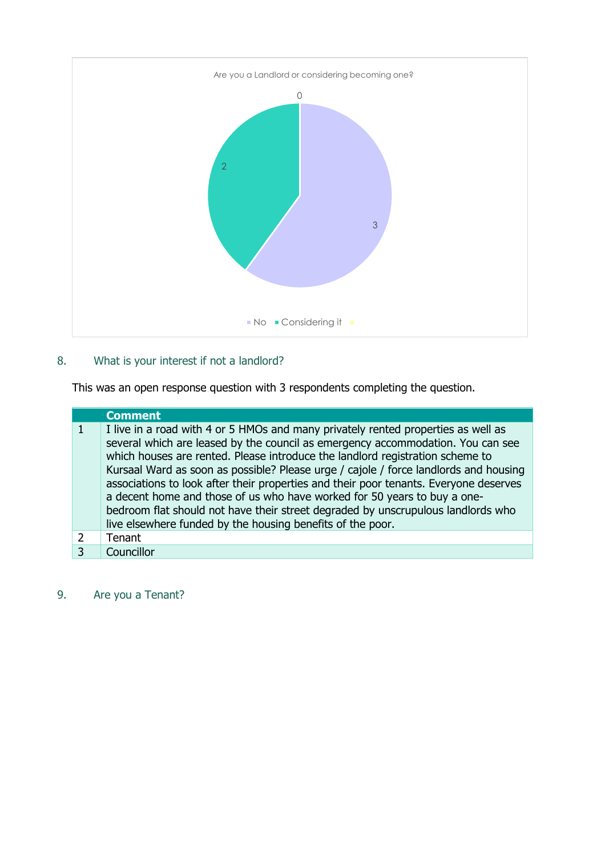

# 8. What is your interest if not a landlord?

This was an open response question with 3 respondents completing the question.

|               | <b>Comment</b>                                                                                                                                                                                                                                                                                                                                                                                                                                                                                                                                                                                                                                                       |
|---------------|----------------------------------------------------------------------------------------------------------------------------------------------------------------------------------------------------------------------------------------------------------------------------------------------------------------------------------------------------------------------------------------------------------------------------------------------------------------------------------------------------------------------------------------------------------------------------------------------------------------------------------------------------------------------|
|               | I live in a road with 4 or 5 HMOs and many privately rented properties as well as<br>several which are leased by the council as emergency accommodation. You can see<br>which houses are rented. Please introduce the landlord registration scheme to<br>Kursaal Ward as soon as possible? Please urge / cajole / force landlords and housing<br>associations to look after their properties and their poor tenants. Everyone deserves<br>a decent home and those of us who have worked for 50 years to buy a one-<br>bedroom flat should not have their street degraded by unscrupulous landlords who<br>live elsewhere funded by the housing benefits of the poor. |
| $\mathcal{L}$ | Tenant                                                                                                                                                                                                                                                                                                                                                                                                                                                                                                                                                                                                                                                               |
|               | Councillor                                                                                                                                                                                                                                                                                                                                                                                                                                                                                                                                                                                                                                                           |

# 9. Are you a Tenant?